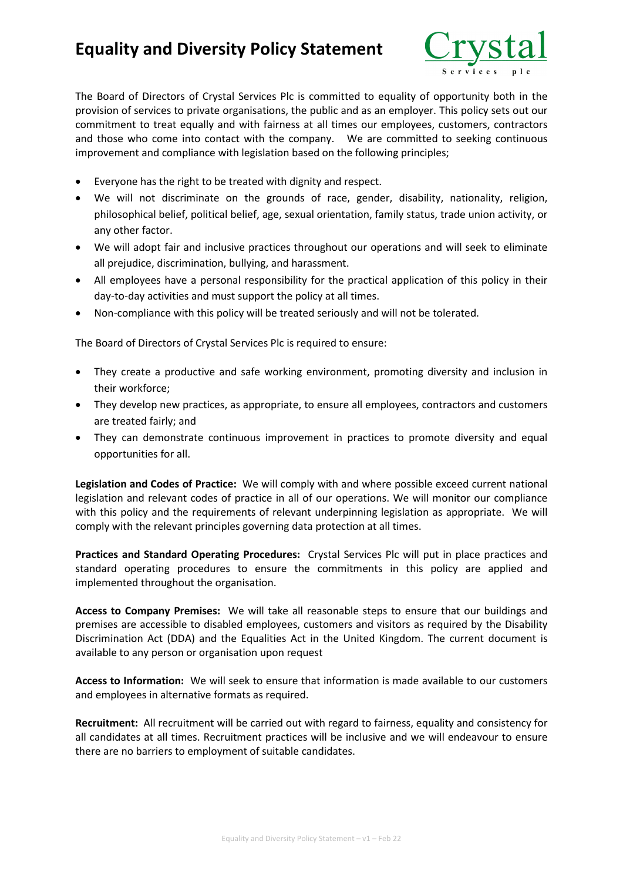## **Equality and Diversity Policy Statement**



The Board of Directors of Crystal Services Plc is committed to equality of opportunity both in the provision of services to private organisations, the public and as an employer. This policy sets out our commitment to treat equally and with fairness at all times our employees, customers, contractors and those who come into contact with the company. We are committed to seeking continuous improvement and compliance with legislation based on the following principles;

- Everyone has the right to be treated with dignity and respect.
- We will not discriminate on the grounds of race, gender, disability, nationality, religion, philosophical belief, political belief, age, sexual orientation, family status, trade union activity, or any other factor.
- We will adopt fair and inclusive practices throughout our operations and will seek to eliminate all prejudice, discrimination, bullying, and harassment.
- All employees have a personal responsibility for the practical application of this policy in their day-to-day activities and must support the policy at all times.
- Non-compliance with this policy will be treated seriously and will not be tolerated.

The Board of Directors of Crystal Services Plc is required to ensure:

- They create a productive and safe working environment, promoting diversity and inclusion in their workforce;
- They develop new practices, as appropriate, to ensure all employees, contractors and customers are treated fairly; and
- They can demonstrate continuous improvement in practices to promote diversity and equal opportunities for all.

**Legislation and Codes of Practice:** We will comply with and where possible exceed current national legislation and relevant codes of practice in all of our operations. We will monitor our compliance with this policy and the requirements of relevant underpinning legislation as appropriate. We will comply with the relevant principles governing data protection at all times.

**Practices and Standard Operating Procedures:** Crystal Services Plc will put in place practices and standard operating procedures to ensure the commitments in this policy are applied and implemented throughout the organisation.

**Access to Company Premises:** We will take all reasonable steps to ensure that our buildings and premises are accessible to disabled employees, customers and visitors as required by the Disability Discrimination Act (DDA) and the Equalities Act in the United Kingdom. The current document is available to any person or organisation upon request

**Access to Information:** We will seek to ensure that information is made available to our customers and employees in alternative formats as required.

**Recruitment:** All recruitment will be carried out with regard to fairness, equality and consistency for all candidates at all times. Recruitment practices will be inclusive and we will endeavour to ensure there are no barriers to employment of suitable candidates.